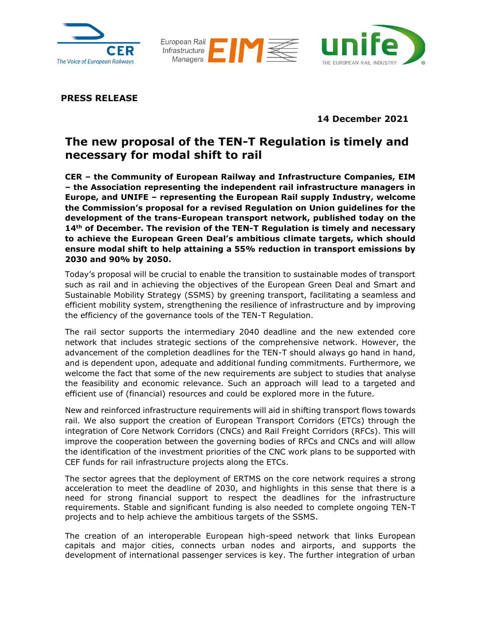





**PRESS RELEASE**

**14 December 2021**

## **The new proposal of the TEN-T Regulation is timely and necessary for modal shift to rail**

**CER – the Community of European Railway and Infrastructure Companies, EIM – the Association representing the independent rail infrastructure managers in Europe, and UNIFE – representing the European Rail supply Industry, welcome the Commission's proposal for a revised Regulation on Union guidelines for the development of the trans-European transport network, published today on the 14th of December. The revision of the TEN-T Regulation is timely and necessary to achieve the European Green Deal's ambitious climate targets, which should ensure modal shift to help attaining a 55% reduction in transport emissions by 2030 and 90% by 2050.**

Today's proposal will be crucial to enable the transition to sustainable modes of transport such as rail and in achieving the objectives of the European Green Deal and Smart and Sustainable Mobility Strategy (SSMS) by greening transport, facilitating a seamless and efficient mobility system, strengthening the resilience of infrastructure and by improving the efficiency of the governance tools of the TEN-T Regulation.

The rail sector supports the intermediary 2040 deadline and the new extended core network that includes strategic sections of the comprehensive network. However, the advancement of the completion deadlines for the TEN-T should always go hand in hand, and is dependent upon, adequate and additional funding commitments. Furthermore, we welcome the fact that some of the new requirements are subject to studies that analyse the feasibility and economic relevance. Such an approach will lead to a targeted and efficient use of (financial) resources and could be explored more in the future.

New and reinforced infrastructure requirements will aid in shifting transport flows towards rail. We also support the creation of European Transport Corridors (ETCs) through the integration of Core Network Corridors (CNCs) and Rail Freight Corridors (RFCs). This will improve the cooperation between the governing bodies of RFCs and CNCs and will allow the identification of the investment priorities of the CNC work plans to be supported with CEF funds for rail infrastructure projects along the ETCs.

The sector agrees that the deployment of ERTMS on the core network requires a strong acceleration to meet the deadline of 2030, and highlights in this sense that there is a need for strong financial support to respect the deadlines for the infrastructure requirements. Stable and significant funding is also needed to complete ongoing TEN-T projects and to help achieve the ambitious targets of the SSMS.

The creation of an interoperable European high-speed network that links European capitals and major cities, connects urban nodes and airports, and supports the development of international passenger services is key. The further integration of urban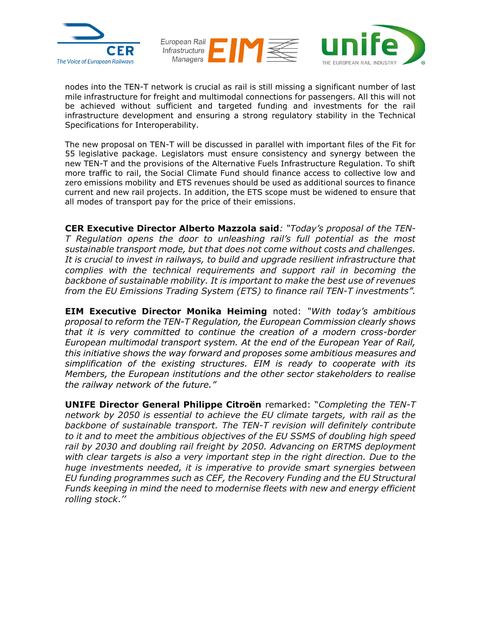



nodes into the TEN-T network is crucial as rail is still missing a significant number of last mile infrastructure for freight and multimodal connections for passengers. All this will not be achieved without sufficient and targeted funding and investments for the rail infrastructure development and ensuring a strong regulatory stability in the Technical Specifications for Interoperability.

The new proposal on TEN-T will be discussed in parallel with important files of the Fit for 55 legislative package. Legislators must ensure consistency and synergy between the new TEN-T and the provisions of the Alternative Fuels Infrastructure Regulation. To shift more traffic to rail, the Social Climate Fund should finance access to collective low and zero emissions mobility and ETS revenues should be used as additional sources to finance current and new rail projects. In addition, the ETS scope must be widened to ensure that all modes of transport pay for the price of their emissions.

**CER Executive Director Alberto Mazzola said***: "Today's proposal of the TEN-T Regulation opens the door to unleashing rail's full potential as the most sustainable transport mode, but that does not come without costs and challenges. It is crucial to invest in railways, to build and upgrade resilient infrastructure that complies with the technical requirements and support rail in becoming the backbone of sustainable mobility. It is important to make the best use of revenues from the EU Emissions Trading System (ETS) to finance rail TEN-T investments".* 

**EIM Executive Director Monika Heiming** noted: *"With today's ambitious proposal to reform the TEN-T Regulation, the European Commission clearly shows that it is very committed to continue the creation of a modern cross-border European multimodal transport system. At the end of the European Year of Rail, this initiative shows the way forward and proposes some ambitious measures and simplification of the existing structures. EIM is ready to cooperate with its Members, the European institutions and the other sector stakeholders to realise the railway network of the future."*

**UNIFE Director General Philippe Citroën** remarked: "*Completing the TEN-T network by 2050 is essential to achieve the EU climate targets, with rail as the backbone of sustainable transport. The TEN-T revision will definitely contribute to it and to meet the ambitious objectives of the EU SSMS of doubling high speed rail by 2030 and doubling rail freight by 2050. Advancing on ERTMS deployment with clear targets is also a very important step in the right direction. Due to the huge investments needed, it is imperative to provide smart synergies between EU funding programmes such as CEF, the Recovery Funding and the EU Structural Funds keeping in mind the need to modernise fleets with new and energy efficient rolling stock*.*''*